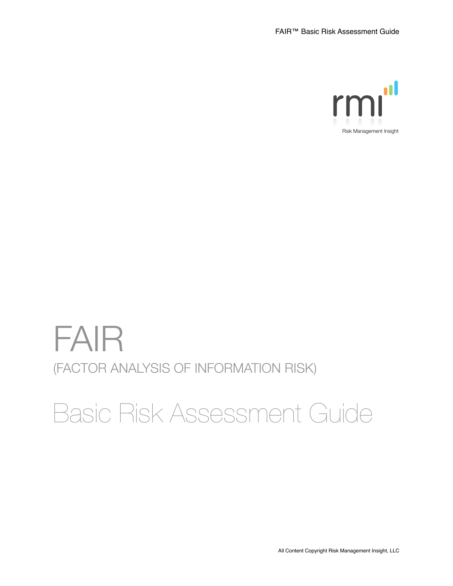

# FAIR (FACTOR ANALYSIS OF INFORMATION RISK)

# Basic Risk Assessment Guide

All Content Copyright Risk Management Insight, LLC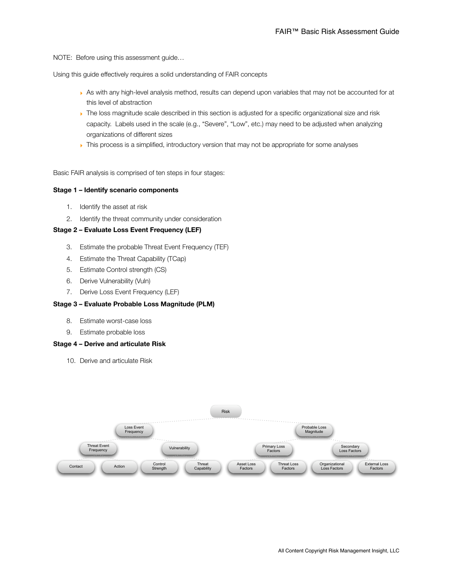NOTE: Before using this assessment guide…

Using this guide effectively requires a solid understanding of FAIR concepts

- ‣ As with any high-level analysis method, results can depend upon variables that may not be accounted for at this level of abstraction
- The loss magnitude scale described in this section is adjusted for a specific organizational size and risk capacity. Labels used in the scale (e.g., "Severe", "Low", etc.) may need to be adjusted when analyzing organizations of different sizes
- This process is a simplified, introductory version that may not be appropriate for some analyses

Basic FAIR analysis is comprised of ten steps in four stages:

#### **Stage 1 – Identify scenario components**

- 1. Identify the asset at risk
- 2. Identify the threat community under consideration

#### **Stage 2 – Evaluate Loss Event Frequency (LEF)**

- 3. Estimate the probable Threat Event Frequency (TEF)
- 4. Estimate the Threat Capability (TCap)
- 5. Estimate Control strength (CS)
- 6. Derive Vulnerability (Vuln)
- 7. Derive Loss Event Frequency (LEF)

#### **Stage 3 – Evaluate Probable Loss Magnitude (PLM)**

- 8. Estimate worst-case loss
- 9. Estimate probable loss

#### **Stage 4 – Derive and articulate Risk**

10. Derive and articulate Risk

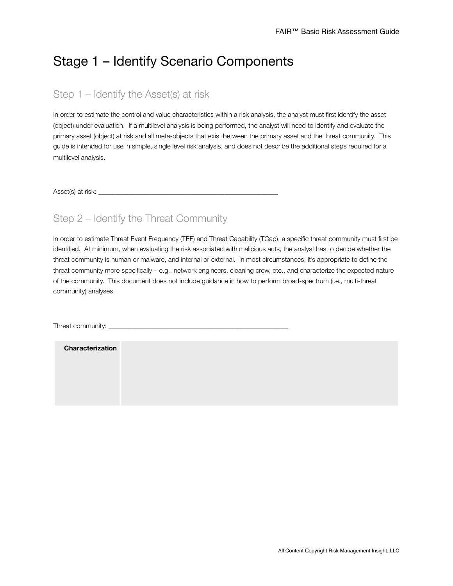# Stage 1 – Identify Scenario Components

## Step 1 – Identify the Asset(s) at risk

In order to estimate the control and value characteristics within a risk analysis, the analyst must first identify the asset (object) under evaluation. If a multilevel analysis is being performed, the analyst will need to identify and evaluate the primary asset (object) at risk and all meta-objects that exist between the primary asset and the threat community. This guide is intended for use in simple, single level risk analysis, and does not describe the additional steps required for a multilevel analysis.

Asset(s) at risk:

## Step 2 – Identify the Threat Community

In order to estimate Threat Event Frequency (TEF) and Threat Capability (TCap), a specific threat community must first be identified. At minimum, when evaluating the risk associated with malicious acts, the analyst has to decide whether the threat community is human or malware, and internal or external. In most circumstances, it's appropriate to define the threat community more specifically – e.g., network engineers, cleaning crew, etc., and characterize the expected nature of the community. This document does not include guidance in how to perform broad-spectrum (i.e., multi-threat community) analyses.

Threat community:

| <b>Characterization</b> |  |  |  |
|-------------------------|--|--|--|
|                         |  |  |  |
|                         |  |  |  |
|                         |  |  |  |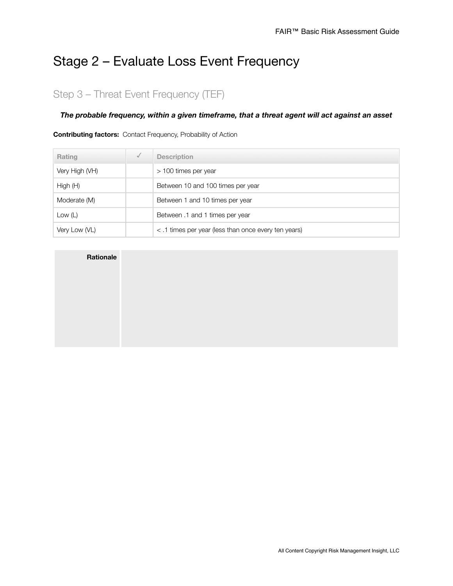# Stage 2 – Evaluate Loss Event Frequency

# Step 3 – Threat Event Frequency (TEF)

#### *The probable frequency, within a given timeframe, that a threat agent will act against an asset*

#### **Contributing factors:** Contact Frequency, Probability of Action

| Rating         | $\checkmark$ | <b>Description</b>                                   |
|----------------|--------------|------------------------------------------------------|
| Very High (VH) |              | > 100 times per year                                 |
| High (H)       |              | Between 10 and 100 times per year                    |
| Moderate (M)   |              | Between 1 and 10 times per year                      |
| Low $(L)$      |              | Between .1 and 1 times per year                      |
| Very Low (VL)  |              | < .1 times per year (less than once every ten years) |

| <b>Rationale</b> |  |
|------------------|--|
|                  |  |
|                  |  |
|                  |  |
|                  |  |
|                  |  |
|                  |  |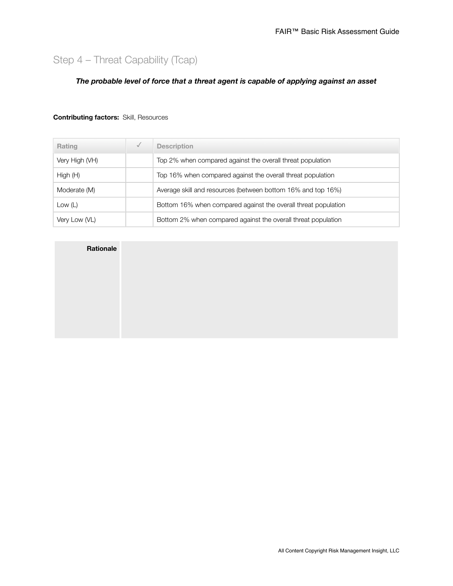# Step 4 – Threat Capability (Tcap)

#### *The probable level of force that a threat agent is capable of applying against an asset*

#### **Contributing factors:** Skill, Resources

| Rating         | $\checkmark$ | <b>Description</b>                                             |
|----------------|--------------|----------------------------------------------------------------|
| Very High (VH) |              | Top 2% when compared against the overall threat population     |
| High(H)        |              | Top 16% when compared against the overall threat population    |
| Moderate (M)   |              | Average skill and resources (between bottom 16% and top 16%)   |
| Low $(L)$      |              | Bottom 16% when compared against the overall threat population |
| Very Low (VL)  |              | Bottom 2% when compared against the overall threat population  |

| <b>Rationale</b> |  |
|------------------|--|
|                  |  |
|                  |  |
|                  |  |
|                  |  |
|                  |  |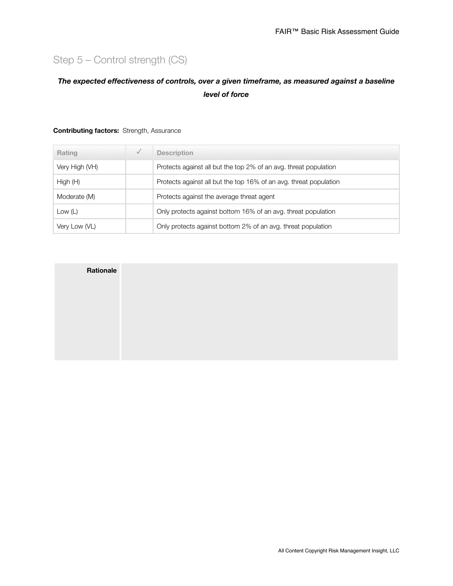# Step 5 – Control strength (CS)

### *The expected effectiveness of controls, over a given timeframe, as measured against a baseline level of force*

| Rating         | $\checkmark$ | <b>Description</b>                                                |
|----------------|--------------|-------------------------------------------------------------------|
| Very High (VH) |              | Protects against all but the top 2% of an avg. threat population  |
| High(H)        |              | Protects against all but the top 16% of an avg. threat population |
| Moderate (M)   |              | Protects against the average threat agent                         |
| Low $(L)$      |              | Only protects against bottom 16% of an avg. threat population     |
| Very Low (VL)  |              | Only protects against bottom 2% of an avg. threat population      |

#### **Contributing factors:** Strength, Assurance

| Rationale |  |
|-----------|--|
|           |  |
|           |  |
|           |  |
|           |  |
|           |  |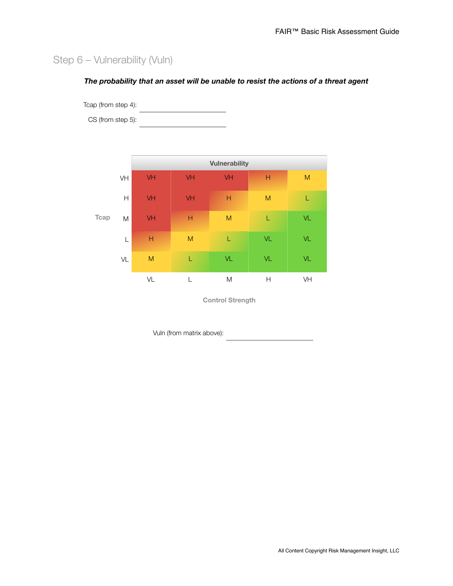# Step 6 – Vulnerability (Vuln)

#### *The probability that an asset will be unable to resist the actions of a threat agent*

Tcap (from step 4):

CS (from step 5):



**Control Strength**

Vuln (from matrix above):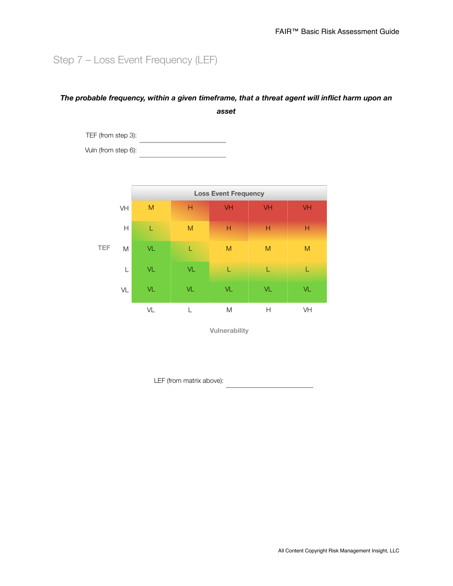# Step 7 – Loss Event Frequency (LEF)

### *The probable frequency, within a given timeframe, that a threat agent will inflict harm upon an asset*

TEF (from step 3): 

Vuln (from step 6):



**Vulnerability**

LEF (from matrix above):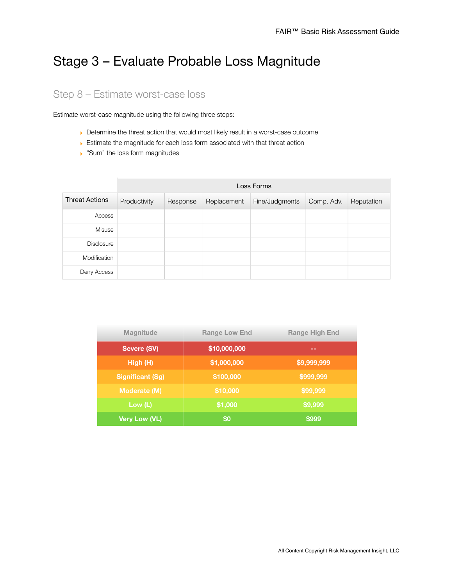# Stage 3 – Evaluate Probable Loss Magnitude

## Step 8 – Estimate worst-case loss

Estimate worst-case magnitude using the following three steps:

- ‣ Determine the threat action that would most likely result in a worst-case outcome
- ‣ Estimate the magnitude for each loss form associated with that threat action
- ▶ "Sum" the loss form magnitudes

|                       | Loss Forms   |          |             |                |            |            |
|-----------------------|--------------|----------|-------------|----------------|------------|------------|
| <b>Threat Actions</b> | Productivity | Response | Replacement | Fine/Judgments | Comp. Adv. | Reputation |
| Access                |              |          |             |                |            |            |
| Misuse                |              |          |             |                |            |            |
| <b>Disclosure</b>     |              |          |             |                |            |            |
| Modification          |              |          |             |                |            |            |
| Deny Access           |              |          |             |                |            |            |

| <b>Magnitude</b>        | <b>Range Low End</b> | <b>Range High End</b> |
|-------------------------|----------------------|-----------------------|
| Severe (SV)             | \$10,000,000         | --                    |
| High(H)                 | \$1,000,000          | \$9,999,999           |
| <b>Significant (Sg)</b> | \$100,000            | \$999,999             |
| <b>Moderate (M)</b>     | \$10,000             | \$99,999              |
| Low (L)                 | \$1,000              | \$9,999               |
| Very Low (VL)           | \$0                  | \$999                 |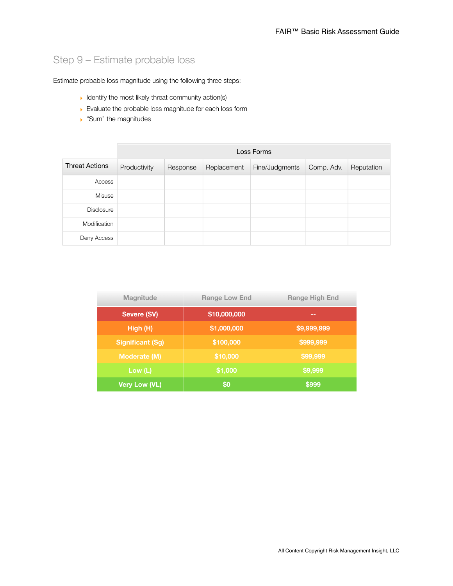# Step 9 – Estimate probable loss

Estimate probable loss magnitude using the following three steps:

- **I** Identify the most likely threat community action(s)
- ‣ Evaluate the probable loss magnitude for each loss form
- ▶ "Sum" the magnitudes

|                       | Loss Forms   |          |             |                |            |            |
|-----------------------|--------------|----------|-------------|----------------|------------|------------|
| <b>Threat Actions</b> | Productivity | Response | Replacement | Fine/Judgments | Comp. Adv. | Reputation |
| Access                |              |          |             |                |            |            |
| Misuse                |              |          |             |                |            |            |
| <b>Disclosure</b>     |              |          |             |                |            |            |
| Modification          |              |          |             |                |            |            |
| Deny Access           |              |          |             |                |            |            |

| <b>Magnitude</b>        | <b>Range Low End</b> | <b>Range High End</b> |
|-------------------------|----------------------|-----------------------|
| Severe (SV)             | \$10,000,000         | --                    |
| High (H)                | \$1,000,000          | \$9,999,999           |
| <b>Significant (Sg)</b> | \$100,000            | \$999,999             |
| <b>Moderate (M)</b>     | \$10,000             | \$99,999              |
| Low $(L)$               | \$1,000              | \$9,999               |
| Very Low (VL)           | \$0                  | \$999                 |